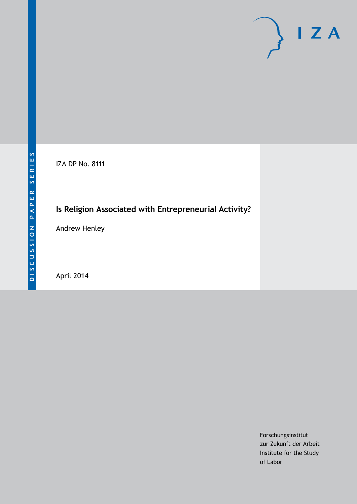# $\mathsf{I}$  Z A

IZA DP No. 8111

## **Is Religion Associated with Entrepreneurial Activity?**

Andrew Henley

April 2014

Forschungsinstitut zur Zukunft der Arbeit Institute for the Study of Labor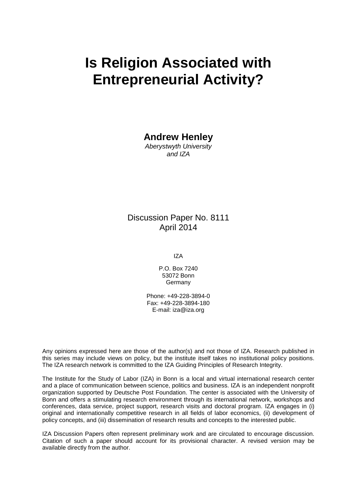## **Is Religion Associated with Entrepreneurial Activity?**

**Andrew Henley**

*Aberystwyth University and IZA*

### Discussion Paper No. 8111 April 2014

IZA

P.O. Box 7240 53072 Bonn Germany

Phone: +49-228-3894-0 Fax: +49-228-3894-180 E-mail: [iza@iza.org](mailto:iza@iza.org)

Any opinions expressed here are those of the author(s) and not those of IZA. Research published in this series may include views on policy, but the institute itself takes no institutional policy positions. The IZA research network is committed to the IZA Guiding Principles of Research Integrity.

The Institute for the Study of Labor (IZA) in Bonn is a local and virtual international research center and a place of communication between science, politics and business. IZA is an independent nonprofit organization supported by Deutsche Post Foundation. The center is associated with the University of Bonn and offers a stimulating research environment through its international network, workshops and conferences, data service, project support, research visits and doctoral program. IZA engages in (i) original and internationally competitive research in all fields of labor economics, (ii) development of policy concepts, and (iii) dissemination of research results and concepts to the interested public.

IZA Discussion Papers often represent preliminary work and are circulated to encourage discussion. Citation of such a paper should account for its provisional character. A revised version may be available directly from the author.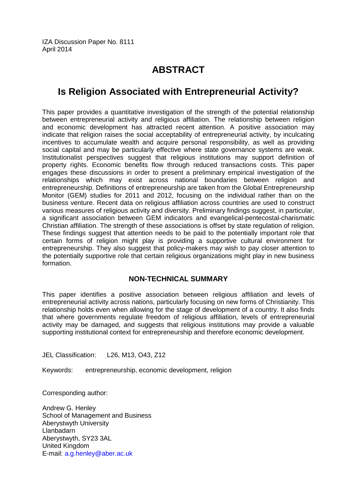IZA Discussion Paper No. 8111 April 2014

## **ABSTRACT**

## **Is Religion Associated with Entrepreneurial Activity?**

This paper provides a quantitative investigation of the strength of the potential relationship between entrepreneurial activity and religious affiliation. The relationship between religion and economic development has attracted recent attention. A positive association may indicate that religion raises the social acceptability of entrepreneurial activity, by inculcating incentives to accumulate wealth and acquire personal responsibility, as well as providing social capital and may be particularly effective where state governance systems are weak. Institutionalist perspectives suggest that religious institutions may support definition of property rights. Economic benefits flow through reduced transactions costs. This paper engages these discussions in order to present a preliminary empirical investigation of the relationships which may exist across national boundaries between religion and entrepreneurship. Definitions of entrepreneurship are taken from the Global Entrepreneurship Monitor (GEM) studies for 2011 and 2012, focusing on the individual rather than on the business venture. Recent data on religious affiliation across countries are used to construct various measures of religious activity and diversity. Preliminary findings suggest, in particular, a significant association between GEM indicators and evangelical-pentecostal-charismatic Christian affiliation. The strength of these associations is offset by state regulation of religion. These findings suggest that attention needs to be paid to the potentially important role that certain forms of religion might play is providing a supportive cultural environment for entrepreneurship. They also suggest that policy-makers may wish to pay closer attention to the potentially supportive role that certain religious organizations might play in new business formation.

#### **NON-TECHNICAL SUMMARY**

This paper identifies a positive association between religious affiliation and levels of entrepreneurial activity across nations, particularly focusing on new forms of Christianity. This relationship holds even when allowing for the stage of development of a country. It also finds that where governments regulate freedom of religious affiliation, levels of entrepreneurial activity may be damaged, and suggests that religious institutions may provide a valuable supporting institutional context for entrepreneurship and therefore economic development.

JEL Classification: L26, M13, O43, Z12

Keywords: entrepreneurship, economic development, religion

Corresponding author:

Andrew G. Henley School of Management and Business Aberystwyth University Llanbadarn Aberystwyth, SY23 3AL United Kingdom E-mail: [a.g.henley@aber.ac.uk](mailto:a.g.henley@aber.ac.uk)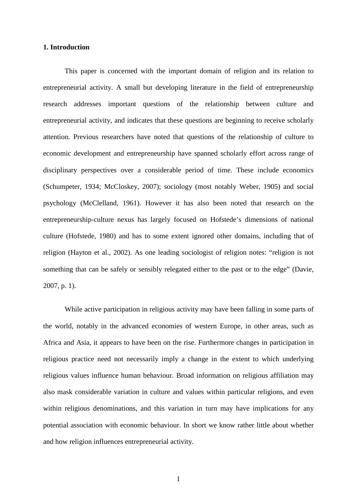#### **1. Introduction**

This paper is concerned with the important domain of religion and its relation to entrepreneurial activity. A small but developing literature in the field of entrepreneurship research addresses important questions of the relationship between culture and entrepreneurial activity, and indicates that these questions are beginning to receive scholarly attention. Previous researchers have noted that questions of the relationship of culture to economic development and entrepreneurship have spanned scholarly effort across range of disciplinary perspectives over a considerable period of time. These include economics (Schumpeter, 1934; McCloskey, 2007); sociology (most notably Weber, 1905) and social psychology (McClelland, 1961). However it has also been noted that research on the entrepreneurship-culture nexus has largely focused on Hofstede's dimensions of national culture (Hofstede, 1980) and has to some extent ignored other domains, including that of religion (Hayton et al., 2002). As one leading sociologist of religion notes: "religion is not something that can be safely or sensibly relegated either to the past or to the edge" (Davie, 2007, p. 1).

While active participation in religious activity may have been falling in some parts of the world, notably in the advanced economies of western Europe, in other areas, such as Africa and Asia, it appears to have been on the rise. Furthermore changes in participation in religious practice need not necessarily imply a change in the extent to which underlying religious values influence human behaviour. Broad information on religious affiliation may also mask considerable variation in culture and values within particular religions, and even within religious denominations, and this variation in turn may have implications for any potential association with economic behaviour. In short we know rather little about whether and how religion influences entrepreneurial activity.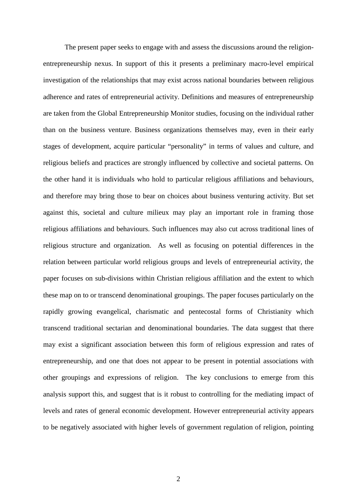The present paper seeks to engage with and assess the discussions around the religionentrepreneurship nexus. In support of this it presents a preliminary macro-level empirical investigation of the relationships that may exist across national boundaries between religious adherence and rates of entrepreneurial activity. Definitions and measures of entrepreneurship are taken from the Global Entrepreneurship Monitor studies, focusing on the individual rather than on the business venture. Business organizations themselves may, even in their early stages of development, acquire particular "personality" in terms of values and culture, and religious beliefs and practices are strongly influenced by collective and societal patterns. On the other hand it is individuals who hold to particular religious affiliations and behaviours, and therefore may bring those to bear on choices about business venturing activity. But set against this, societal and culture milieux may play an important role in framing those religious affiliations and behaviours. Such influences may also cut across traditional lines of religious structure and organization. As well as focusing on potential differences in the relation between particular world religious groups and levels of entrepreneurial activity, the paper focuses on sub-divisions within Christian religious affiliation and the extent to which these map on to or transcend denominational groupings. The paper focuses particularly on the rapidly growing evangelical, charismatic and pentecostal forms of Christianity which transcend traditional sectarian and denominational boundaries. The data suggest that there may exist a significant association between this form of religious expression and rates of entrepreneurship, and one that does not appear to be present in potential associations with other groupings and expressions of religion. The key conclusions to emerge from this analysis support this, and suggest that is it robust to controlling for the mediating impact of levels and rates of general economic development. However entrepreneurial activity appears to be negatively associated with higher levels of government regulation of religion, pointing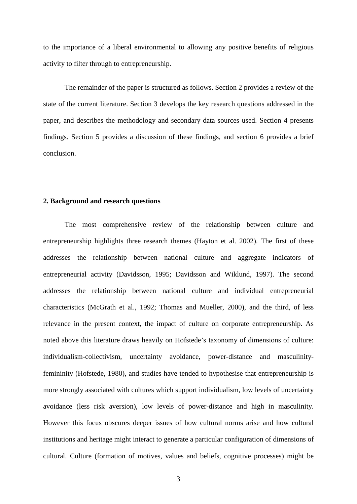to the importance of a liberal environmental to allowing any positive benefits of religious activity to filter through to entrepreneurship.

The remainder of the paper is structured as follows. Section 2 provides a review of the state of the current literature. Section 3 develops the key research questions addressed in the paper, and describes the methodology and secondary data sources used. Section 4 presents findings. Section 5 provides a discussion of these findings, and section 6 provides a brief conclusion.

#### **2. Background and research questions**

The most comprehensive review of the relationship between culture and entrepreneurship highlights three research themes (Hayton et al. 2002). The first of these addresses the relationship between national culture and aggregate indicators of entrepreneurial activity (Davidsson, 1995; Davidsson and Wiklund, 1997). The second addresses the relationship between national culture and individual entrepreneurial characteristics (McGrath et al., 1992; Thomas and Mueller, 2000), and the third, of less relevance in the present context, the impact of culture on corporate entrepreneurship. As noted above this literature draws heavily on Hofstede's taxonomy of dimensions of culture: individualism-collectivism, uncertainty avoidance, power-distance and masculinityfemininity (Hofstede, 1980), and studies have tended to hypothesise that entrepreneurship is more strongly associated with cultures which support individualism, low levels of uncertainty avoidance (less risk aversion), low levels of power-distance and high in masculinity. However this focus obscures deeper issues of how cultural norms arise and how cultural institutions and heritage might interact to generate a particular configuration of dimensions of cultural. Culture (formation of motives, values and beliefs, cognitive processes) might be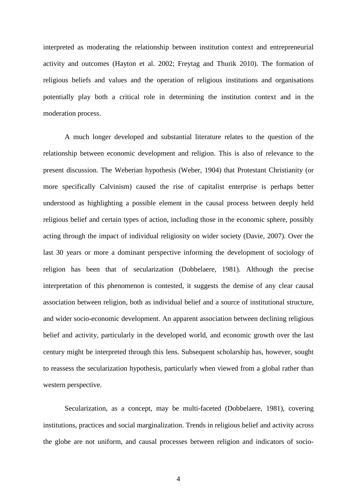interpreted as moderating the relationship between institution context and entrepreneurial activity and outcomes (Hayton et al. 2002; Freytag and Thurik 2010). The formation of religious beliefs and values and the operation of religious institutions and organisations potentially play both a critical role in determining the institution context and in the moderation process.

A much longer developed and substantial literature relates to the question of the relationship between economic development and religion. This is also of relevance to the present discussion. The Weberian hypothesis (Weber, 1904) that Protestant Christianity (or more specifically Calvinism) caused the rise of capitalist enterprise is perhaps better understood as highlighting a possible element in the causal process between deeply held religious belief and certain types of action, including those in the economic sphere, possibly acting through the impact of individual religiosity on wider society (Davie, 2007). Over the last 30 years or more a dominant perspective informing the development of sociology of religion has been that of secularization (Dobbelaere, 1981). Although the precise interpretation of this phenomenon is contested, it suggests the demise of any clear causal association between religion, both as individual belief and a source of institutional structure, and wider socio-economic development. An apparent association between declining religious belief and activity, particularly in the developed world, and economic growth over the last century might be interpreted through this lens. Subsequent scholarship has, however, sought to reassess the secularization hypothesis, particularly when viewed from a global rather than western perspective.

Secularization, as a concept, may be multi-faceted (Dobbelaere, 1981), covering institutions, practices and social marginalization. Trends in religious belief and activity across the globe are not uniform, and causal processes between religion and indicators of socio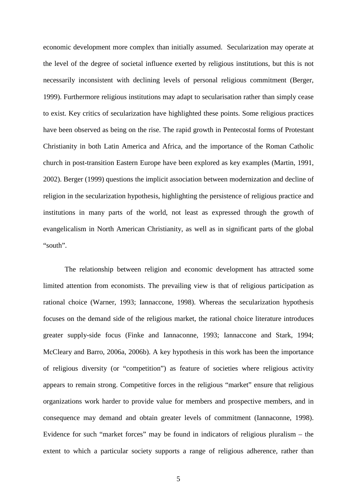economic development more complex than initially assumed. Secularization may operate at the level of the degree of societal influence exerted by religious institutions, but this is not necessarily inconsistent with declining levels of personal religious commitment (Berger, 1999). Furthermore religious institutions may adapt to secularisation rather than simply cease to exist. Key critics of secularization have highlighted these points. Some religious practices have been observed as being on the rise. The rapid growth in Pentecostal forms of Protestant Christianity in both Latin America and Africa, and the importance of the Roman Catholic church in post-transition Eastern Europe have been explored as key examples (Martin, 1991, 2002). Berger (1999) questions the implicit association between modernization and decline of religion in the secularization hypothesis, highlighting the persistence of religious practice and institutions in many parts of the world, not least as expressed through the growth of evangelicalism in North American Christianity, as well as in significant parts of the global "south".

The relationship between religion and economic development has attracted some limited attention from economists. The prevailing view is that of religious participation as rational choice (Warner, 1993; Iannaccone, 1998). Whereas the secularization hypothesis focuses on the demand side of the religious market, the rational choice literature introduces greater supply-side focus (Finke and Iannaconne, 1993; Iannaccone and Stark, 1994; McCleary and Barro, 2006a, 2006b). A key hypothesis in this work has been the importance of religious diversity (or "competition") as feature of societies where religious activity appears to remain strong. Competitive forces in the religious "market" ensure that religious organizations work harder to provide value for members and prospective members, and in consequence may demand and obtain greater levels of commitment (Iannaconne, 1998). Evidence for such "market forces" may be found in indicators of religious pluralism – the extent to which a particular society supports a range of religious adherence, rather than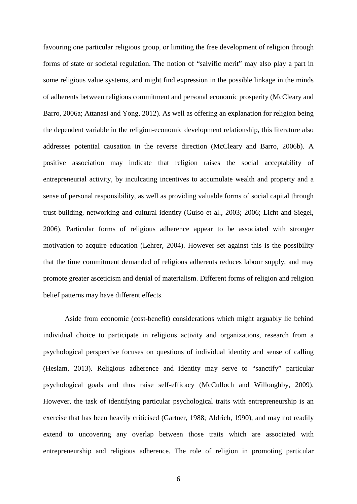favouring one particular religious group, or limiting the free development of religion through forms of state or societal regulation. The notion of "salvific merit" may also play a part in some religious value systems, and might find expression in the possible linkage in the minds of adherents between religious commitment and personal economic prosperity (McCleary and Barro, 2006a; Attanasi and Yong, 2012). As well as offering an explanation for religion being the dependent variable in the religion-economic development relationship, this literature also addresses potential causation in the reverse direction (McCleary and Barro, 2006b). A positive association may indicate that religion raises the social acceptability of entrepreneurial activity, by inculcating incentives to accumulate wealth and property and a sense of personal responsibility, as well as providing valuable forms of social capital through trust-building, networking and cultural identity (Guiso et al., 2003; 2006; Licht and Siegel, 2006). Particular forms of religious adherence appear to be associated with stronger motivation to acquire education (Lehrer, 2004). However set against this is the possibility that the time commitment demanded of religious adherents reduces labour supply, and may promote greater asceticism and denial of materialism. Different forms of religion and religion belief patterns may have different effects.

Aside from economic (cost-benefit) considerations which might arguably lie behind individual choice to participate in religious activity and organizations, research from a psychological perspective focuses on questions of individual identity and sense of calling (Heslam, 2013). Religious adherence and identity may serve to "sanctify" particular psychological goals and thus raise self-efficacy (McCulloch and Willoughby, 2009). However, the task of identifying particular psychological traits with entrepreneurship is an exercise that has been heavily criticised (Gartner, 1988; Aldrich, 1990), and may not readily extend to uncovering any overlap between those traits which are associated with entrepreneurship and religious adherence. The role of religion in promoting particular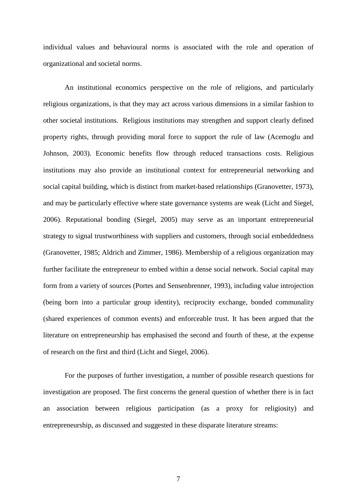individual values and behavioural norms is associated with the role and operation of organizational and societal norms.

An institutional economics perspective on the role of religions, and particularly religious organizations, is that they may act across various dimensions in a similar fashion to other societal institutions. Religious institutions may strengthen and support clearly defined property rights, through providing moral force to support the rule of law (Acemoglu and Johnson, 2003). Economic benefits flow through reduced transactions costs. Religious institutions may also provide an institutional context for entrepreneurial networking and social capital building, which is distinct from market-based relationships (Granovetter, 1973), and may be particularly effective where state governance systems are weak (Licht and Siegel, 2006). Reputational bonding (Siegel, 2005) may serve as an important entrepreneurial strategy to signal trustworthiness with suppliers and customers, through social embeddedness (Granovetter, 1985; Aldrich and Zimmer, 1986). Membership of a religious organization may further facilitate the entrepreneur to embed within a dense social network. Social capital may form from a variety of sources (Portes and Sensenbrenner, 1993), including value introjection (being born into a particular group identity), reciprocity exchange, bonded communality (shared experiences of common events) and enforceable trust. It has been argued that the literature on entrepreneurship has emphasised the second and fourth of these, at the expense of research on the first and third (Licht and Siegel, 2006).

For the purposes of further investigation, a number of possible research questions for investigation are proposed. The first concerns the general question of whether there is in fact an association between religious participation (as a proxy for religiosity) and entrepreneurship, as discussed and suggested in these disparate literature streams: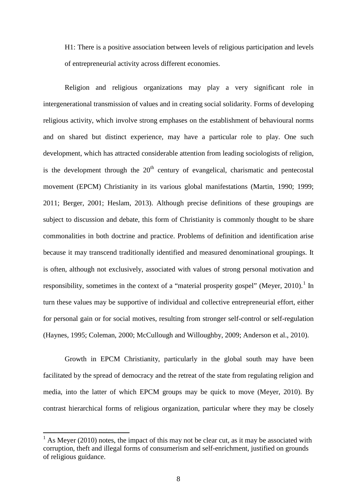H1: There is a positive association between levels of religious participation and levels of entrepreneurial activity across different economies.

Religion and religious organizations may play a very significant role in intergenerational transmission of values and in creating social solidarity. Forms of developing religious activity, which involve strong emphases on the establishment of behavioural norms and on shared but distinct experience, may have a particular role to play. One such development, which has attracted considerable attention from leading sociologists of religion, is the development through the  $20<sup>th</sup>$  century of evangelical, charismatic and pentecostal movement (EPCM) Christianity in its various global manifestations (Martin, 1990; 1999; 2011; Berger, 2001; Heslam, 2013). Although precise definitions of these groupings are subject to discussion and debate, this form of Christianity is commonly thought to be share commonalities in both doctrine and practice. Problems of definition and identification arise because it may transcend traditionally identified and measured denominational groupings. It is often, although not exclusively, associated with values of strong personal motivation and responsibility, sometimes in the context of a "material prosperity gospel" (Mever,  $2010$ ).<sup>1</sup> In turn these values may be supportive of individual and collective entrepreneurial effort, either for personal gain or for social motives, resulting from stronger self-control or self-regulation (Haynes, 1995; Coleman, 2000; McCullough and Willoughby, 2009; Anderson et al., 2010).

Growth in EPCM Christianity, particularly in the global south may have been facilitated by the spread of democracy and the retreat of the state from regulating religion and media, into the latter of which EPCM groups may be quick to move (Meyer, 2010). By contrast hierarchical forms of religious organization, particular where they may be closely

<span id="page-10-0"></span> $<sup>1</sup>$  As Meyer (2010) notes, the impact of this may not be clear cut, as it may be associated with</sup> corruption, theft and illegal forms of consumerism and self-enrichment, justified on grounds of religious guidance.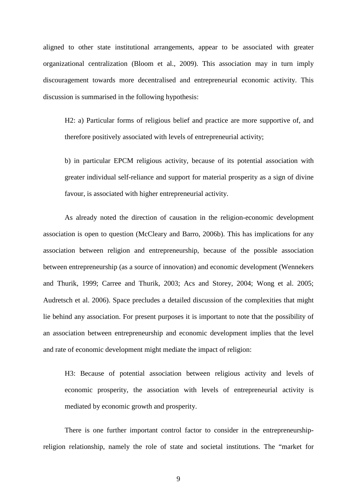aligned to other state institutional arrangements, appear to be associated with greater organizational centralization (Bloom et al., 2009). This association may in turn imply discouragement towards more decentralised and entrepreneurial economic activity. This discussion is summarised in the following hypothesis:

H2: a) Particular forms of religious belief and practice are more supportive of, and therefore positively associated with levels of entrepreneurial activity;

b) in particular EPCM religious activity, because of its potential association with greater individual self-reliance and support for material prosperity as a sign of divine favour, is associated with higher entrepreneurial activity.

As already noted the direction of causation in the religion-economic development association is open to question (McCleary and Barro, 2006b). This has implications for any association between religion and entrepreneurship, because of the possible association between entrepreneurship (as a source of innovation) and economic development (Wennekers and Thurik, 1999; Carree and Thurik, 2003; Acs and Storey, 2004; Wong et al. 2005; Audretsch et al. 2006). Space precludes a detailed discussion of the complexities that might lie behind any association. For present purposes it is important to note that the possibility of an association between entrepreneurship and economic development implies that the level and rate of economic development might mediate the impact of religion:

H3: Because of potential association between religious activity and levels of economic prosperity, the association with levels of entrepreneurial activity is mediated by economic growth and prosperity.

There is one further important control factor to consider in the entrepreneurshipreligion relationship, namely the role of state and societal institutions. The "market for

9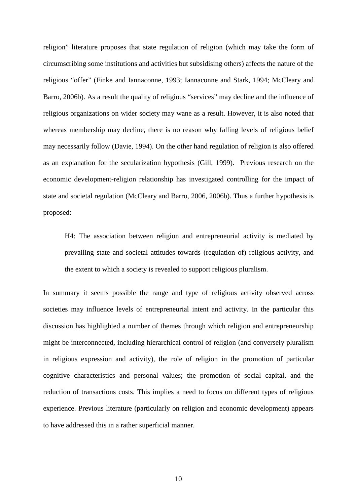religion" literature proposes that state regulation of religion (which may take the form of circumscribing some institutions and activities but subsidising others) affects the nature of the religious "offer" (Finke and Iannaconne, 1993; Iannaconne and Stark, 1994; McCleary and Barro, 2006b). As a result the quality of religious "services" may decline and the influence of religious organizations on wider society may wane as a result. However, it is also noted that whereas membership may decline, there is no reason why falling levels of religious belief may necessarily follow (Davie, 1994). On the other hand regulation of religion is also offered as an explanation for the secularization hypothesis (Gill, 1999). Previous research on the economic development-religion relationship has investigated controlling for the impact of state and societal regulation (McCleary and Barro, 2006, 2006b). Thus a further hypothesis is proposed:

H4: The association between religion and entrepreneurial activity is mediated by prevailing state and societal attitudes towards (regulation of) religious activity, and the extent to which a society is revealed to support religious pluralism.

In summary it seems possible the range and type of religious activity observed across societies may influence levels of entrepreneurial intent and activity. In the particular this discussion has highlighted a number of themes through which religion and entrepreneurship might be interconnected, including hierarchical control of religion (and conversely pluralism in religious expression and activity), the role of religion in the promotion of particular cognitive characteristics and personal values; the promotion of social capital, and the reduction of transactions costs. This implies a need to focus on different types of religious experience. Previous literature (particularly on religion and economic development) appears to have addressed this in a rather superficial manner.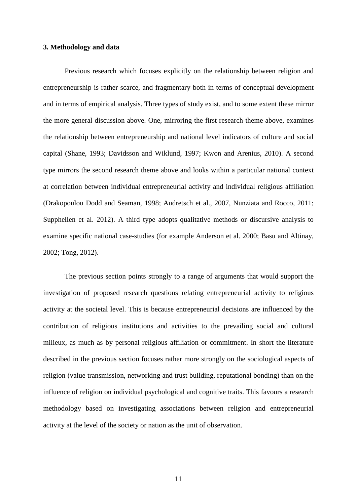#### **3. Methodology and data**

Previous research which focuses explicitly on the relationship between religion and entrepreneurship is rather scarce, and fragmentary both in terms of conceptual development and in terms of empirical analysis. Three types of study exist, and to some extent these mirror the more general discussion above. One, mirroring the first research theme above, examines the relationship between entrepreneurship and national level indicators of culture and social capital (Shane, 1993; Davidsson and Wiklund, 1997; Kwon and Arenius, 2010). A second type mirrors the second research theme above and looks within a particular national context at correlation between individual entrepreneurial activity and individual religious affiliation (Drakopoulou Dodd and Seaman, 1998; Audretsch et al., 2007, Nunziata and Rocco, 2011; Supphellen et al. 2012). A third type adopts qualitative methods or discursive analysis to examine specific national case-studies (for example Anderson et al. 2000; Basu and Altinay, 2002; Tong, 2012).

The previous section points strongly to a range of arguments that would support the investigation of proposed research questions relating entrepreneurial activity to religious activity at the societal level. This is because entrepreneurial decisions are influenced by the contribution of religious institutions and activities to the prevailing social and cultural milieux, as much as by personal religious affiliation or commitment. In short the literature described in the previous section focuses rather more strongly on the sociological aspects of religion (value transmission, networking and trust building, reputational bonding) than on the influence of religion on individual psychological and cognitive traits. This favours a research methodology based on investigating associations between religion and entrepreneurial activity at the level of the society or nation as the unit of observation.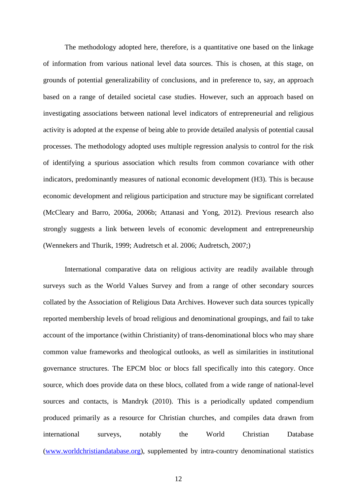The methodology adopted here, therefore, is a quantitative one based on the linkage of information from various national level data sources. This is chosen, at this stage, on grounds of potential generalizability of conclusions, and in preference to, say, an approach based on a range of detailed societal case studies. However, such an approach based on investigating associations between national level indicators of entrepreneurial and religious activity is adopted at the expense of being able to provide detailed analysis of potential causal processes. The methodology adopted uses multiple regression analysis to control for the risk of identifying a spurious association which results from common covariance with other indicators, predominantly measures of national economic development (H3). This is because economic development and religious participation and structure may be significant correlated (McCleary and Barro, 2006a, 2006b; Attanasi and Yong, 2012). Previous research also strongly suggests a link between levels of economic development and entrepreneurship (Wennekers and Thurik, 1999; Audretsch et al. 2006; Audretsch, 2007;)

International comparative data on religious activity are readily available through surveys such as the World Values Survey and from a range of other secondary sources collated by the Association of Religious Data Archives. However such data sources typically reported membership levels of broad religious and denominational groupings, and fail to take account of the importance (within Christianity) of trans-denominational blocs who may share common value frameworks and theological outlooks, as well as similarities in institutional governance structures. The EPCM bloc or blocs fall specifically into this category. Once source, which does provide data on these blocs, collated from a wide range of national-level sources and contacts, is Mandryk (2010). This is a periodically updated compendium produced primarily as a resource for Christian churches, and compiles data drawn from international surveys, notably the World Christian Database [\(www.worldchristiandatabase.org\)](http://www.worldchristiandatabase.org/), supplemented by intra-country denominational statistics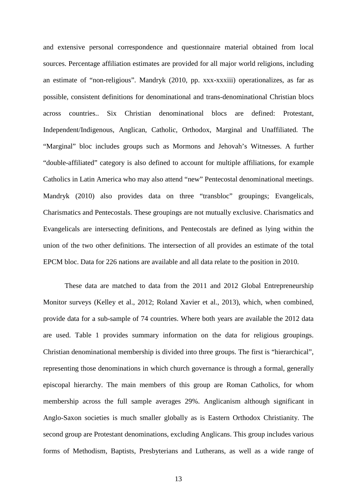and extensive personal correspondence and questionnaire material obtained from local sources. Percentage affiliation estimates are provided for all major world religions, including an estimate of "non-religious". Mandryk (2010, pp. xxx-xxxiii) operationalizes, as far as possible, consistent definitions for denominational and trans-denominational Christian blocs across countries.. Six Christian denominational blocs are defined: Protestant, Independent/Indigenous, Anglican, Catholic, Orthodox, Marginal and Unaffiliated. The "Marginal" bloc includes groups such as Mormons and Jehovah's Witnesses. A further "double-affiliated" category is also defined to account for multiple affiliations, for example Catholics in Latin America who may also attend "new" Pentecostal denominational meetings. Mandryk (2010) also provides data on three "transbloc" groupings; Evangelicals, Charismatics and Pentecostals. These groupings are not mutually exclusive. Charismatics and Evangelicals are intersecting definitions, and Pentecostals are defined as lying within the union of the two other definitions. The intersection of all provides an estimate of the total EPCM bloc. Data for 226 nations are available and all data relate to the position in 2010.

These data are matched to data from the 2011 and 2012 Global Entrepreneurship Monitor surveys (Kelley et al., 2012; Roland Xavier et al., 2013), which, when combined, provide data for a sub-sample of 74 countries. Where both years are available the 2012 data are used. Table 1 provides summary information on the data for religious groupings. Christian denominational membership is divided into three groups. The first is "hierarchical", representing those denominations in which church governance is through a formal, generally episcopal hierarchy. The main members of this group are Roman Catholics, for whom membership across the full sample averages 29%. Anglicanism although significant in Anglo-Saxon societies is much smaller globally as is Eastern Orthodox Christianity. The second group are Protestant denominations, excluding Anglicans. This group includes various forms of Methodism, Baptists, Presbyterians and Lutherans, as well as a wide range of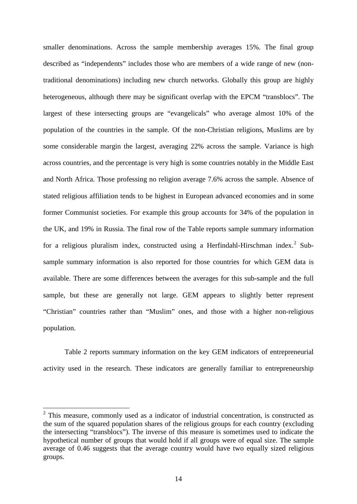smaller denominations. Across the sample membership averages 15%. The final group described as "independents" includes those who are members of a wide range of new (nontraditional denominations) including new church networks. Globally this group are highly heterogeneous, although there may be significant overlap with the EPCM "transblocs". The largest of these intersecting groups are "evangelicals" who average almost 10% of the population of the countries in the sample. Of the non-Christian religions, Muslims are by some considerable margin the largest, averaging 22% across the sample. Variance is high across countries, and the percentage is very high is some countries notably in the Middle East and North Africa. Those professing no religion average 7.6% across the sample. Absence of stated religious affiliation tends to be highest in European advanced economies and in some former Communist societies. For example this group accounts for 34% of the population in the UK, and 19% in Russia. The final row of the Table reports sample summary information for a religious pluralism index, constructed using a Herfindahl-Hirschman index.<sup>[2](#page-10-0)</sup> Subsample summary information is also reported for those countries for which GEM data is available. There are some differences between the averages for this sub-sample and the full sample, but these are generally not large. GEM appears to slightly better represent "Christian" countries rather than "Muslim" ones, and those with a higher non-religious population.

Table 2 reports summary information on the key GEM indicators of entrepreneurial activity used in the research. These indicators are generally familiar to entrepreneurship

<span id="page-16-0"></span> $2$  This measure, commonly used as a indicator of industrial concentration, is constructed as the sum of the squared population shares of the religious groups for each country (excluding the intersecting "transblocs"). The inverse of this measure is sometimes used to indicate the hypothetical number of groups that would hold if all groups were of equal size. The sample average of 0.46 suggests that the average country would have two equally sized religious groups.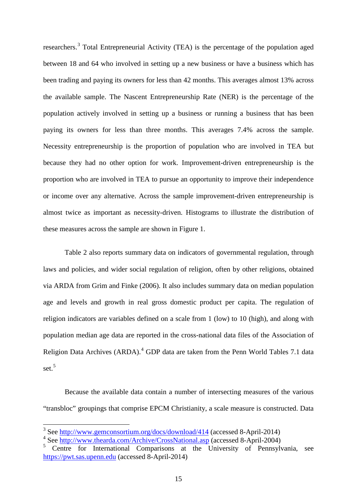researchers.[3](#page-16-0) Total Entrepreneurial Activity (TEA) is the percentage of the population aged between 18 and 64 who involved in setting up a new business or have a business which has been trading and paying its owners for less than 42 months. This averages almost 13% across the available sample. The Nascent Entrepreneurship Rate (NER) is the percentage of the population actively involved in setting up a business or running a business that has been paying its owners for less than three months. This averages 7.4% across the sample. Necessity entrepreneurship is the proportion of population who are involved in TEA but because they had no other option for work. Improvement-driven entrepreneurship is the proportion who are involved in TEA to pursue an opportunity to improve their independence or income over any alternative. Across the sample improvement-driven entrepreneurship is almost twice as important as necessity-driven. Histograms to illustrate the distribution of these measures across the sample are shown in Figure 1.

Table 2 also reports summary data on indicators of governmental regulation, through laws and policies, and wider social regulation of religion, often by other religions, obtained via ARDA from Grim and Finke (2006). It also includes summary data on median population age and levels and growth in real gross domestic product per capita. The regulation of religion indicators are variables defined on a scale from 1 (low) to 10 (high), and along with population median age data are reported in the cross-national data files of the Association of Religion Data Archives (ARDA).<sup>[4](#page-17-0)</sup> GDP data are taken from the Penn World Tables 7.1 data set. [5](#page-17-1)

Because the available data contain a number of intersecting measures of the various "transbloc" groupings that comprise EPCM Christianity, a scale measure is constructed. Data

<sup>3</sup> See<http://www.gemconsortium.org/docs/download/414> (accessed 8-April-2014)

<span id="page-17-0"></span><sup>4</sup> See<http://www.thearda.com/Archive/CrossNational.asp> (accessed 8-April-2004)

<span id="page-17-1"></span><sup>5</sup> Centre for International Comparisons at the University of Pennsylvania, see [https://pwt.sas.upenn.edu](https://pwt.sas.upenn.edu/) (accessed 8-April-2014)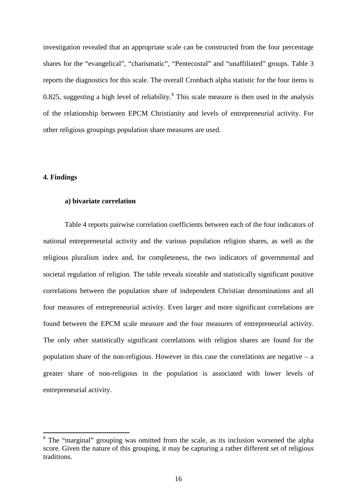investigation revealed that an appropriate scale can be constructed from the four percentage shares for the "evangelical", "charismatic", "Pentecostal" and "unaffiliated" groups. Table 3 reports the diagnostics for this scale. The overall Cronbach alpha statistic for the four items is 0.825, suggesting a high level of reliability.<sup>[6](#page-17-0)</sup> This scale measure is then used in the analysis of the relationship between EPCM Christianity and levels of entrepreneurial activity. For other religious groupings population share measures are used.

#### **4. Findings**

#### **a) bivariate correlation**

Table 4 reports pairwise correlation coefficients between each of the four indicators of national entrepreneurial activity and the various population religion shares, as well as the religious pluralism index and, for completeness, the two indicators of governmental and societal regulation of religion. The table reveals sizeable and statistically significant positive correlations between the population share of independent Christian denominations and all four measures of entrepreneurial activity. Even larger and more significant correlations are found between the EPCM scale measure and the four measures of entrepreneurial activity. The only other statistically significant correlations with religion shares are found for the population share of the non-religious. However in this case the correlations are negative  $-$  a greater share of non-religious in the population is associated with lower levels of entrepreneurial activity.

<span id="page-18-0"></span><sup>6</sup> The "marginal" grouping was omitted from the scale, as its inclusion worsened the alpha score. Given the nature of this grouping, it may be capturing a rather different set of religious traditions.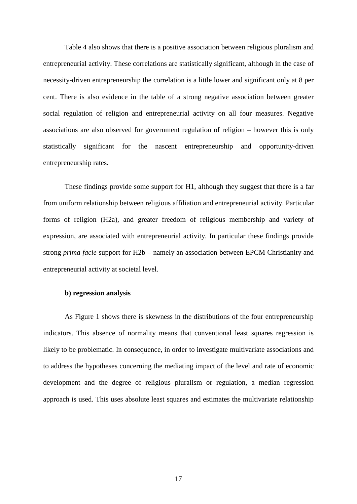Table 4 also shows that there is a positive association between religious pluralism and entrepreneurial activity. These correlations are statistically significant, although in the case of necessity-driven entrepreneurship the correlation is a little lower and significant only at 8 per cent. There is also evidence in the table of a strong negative association between greater social regulation of religion and entrepreneurial activity on all four measures. Negative associations are also observed for government regulation of religion – however this is only statistically significant for the nascent entrepreneurship and opportunity-driven entrepreneurship rates.

These findings provide some support for H1, although they suggest that there is a far from uniform relationship between religious affiliation and entrepreneurial activity. Particular forms of religion (H2a), and greater freedom of religious membership and variety of expression, are associated with entrepreneurial activity. In particular these findings provide strong *prima facie* support for H2b – namely an association between EPCM Christianity and entrepreneurial activity at societal level.

#### **b) regression analysis**

As Figure 1 shows there is skewness in the distributions of the four entrepreneurship indicators. This absence of normality means that conventional least squares regression is likely to be problematic. In consequence, in order to investigate multivariate associations and to address the hypotheses concerning the mediating impact of the level and rate of economic development and the degree of religious pluralism or regulation, a median regression approach is used. This uses absolute least squares and estimates the multivariate relationship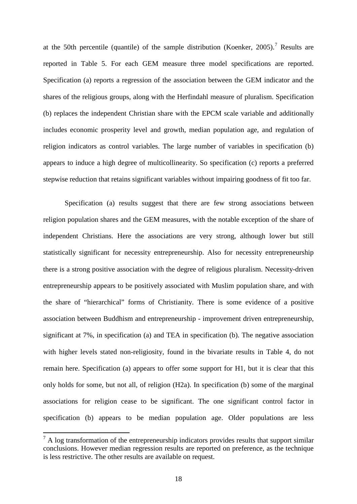at the 50th percentile (quantile) of the sample distribution (Koenker, 2005).<sup>[7](#page-18-0)</sup> Results are reported in Table 5. For each GEM measure three model specifications are reported. Specification (a) reports a regression of the association between the GEM indicator and the shares of the religious groups, along with the Herfindahl measure of pluralism. Specification (b) replaces the independent Christian share with the EPCM scale variable and additionally includes economic prosperity level and growth, median population age, and regulation of religion indicators as control variables. The large number of variables in specification (b) appears to induce a high degree of multicollinearity. So specification (c) reports a preferred stepwise reduction that retains significant variables without impairing goodness of fit too far.

Specification (a) results suggest that there are few strong associations between religion population shares and the GEM measures, with the notable exception of the share of independent Christians. Here the associations are very strong, although lower but still statistically significant for necessity entrepreneurship. Also for necessity entrepreneurship there is a strong positive association with the degree of religious pluralism. Necessity-driven entrepreneurship appears to be positively associated with Muslim population share, and with the share of "hierarchical" forms of Christianity. There is some evidence of a positive association between Buddhism and entrepreneurship - improvement driven entrepreneurship, significant at 7%, in specification (a) and TEA in specification (b). The negative association with higher levels stated non-religiosity, found in the bivariate results in Table 4, do not remain here. Specification (a) appears to offer some support for H1, but it is clear that this only holds for some, but not all, of religion (H2a). In specification (b) some of the marginal associations for religion cease to be significant. The one significant control factor in specification (b) appears to be median population age. Older populations are less

 $<sup>7</sup>$  A log transformation of the entrepreneurship indicators provides results that support similar</sup> conclusions. However median regression results are reported on preference, as the technique is less restrictive. The other results are available on request.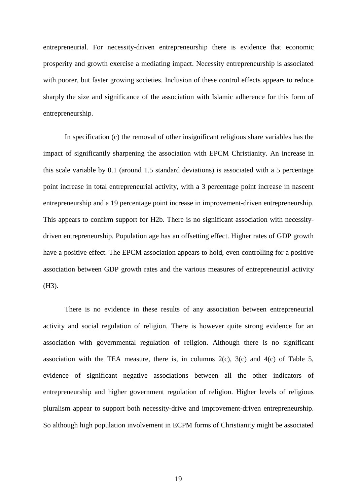entrepreneurial. For necessity-driven entrepreneurship there is evidence that economic prosperity and growth exercise a mediating impact. Necessity entrepreneurship is associated with poorer, but faster growing societies. Inclusion of these control effects appears to reduce sharply the size and significance of the association with Islamic adherence for this form of entrepreneurship.

In specification (c) the removal of other insignificant religious share variables has the impact of significantly sharpening the association with EPCM Christianity. An increase in this scale variable by 0.1 (around 1.5 standard deviations) is associated with a 5 percentage point increase in total entrepreneurial activity, with a 3 percentage point increase in nascent entrepreneurship and a 19 percentage point increase in improvement-driven entrepreneurship. This appears to confirm support for H2b. There is no significant association with necessitydriven entrepreneurship. Population age has an offsetting effect. Higher rates of GDP growth have a positive effect. The EPCM association appears to hold, even controlling for a positive association between GDP growth rates and the various measures of entrepreneurial activity (H3).

There is no evidence in these results of any association between entrepreneurial activity and social regulation of religion. There is however quite strong evidence for an association with governmental regulation of religion. Although there is no significant association with the TEA measure, there is, in columns  $2(c)$ ,  $3(c)$  and  $4(c)$  of Table 5, evidence of significant negative associations between all the other indicators of entrepreneurship and higher government regulation of religion. Higher levels of religious pluralism appear to support both necessity-drive and improvement-driven entrepreneurship. So although high population involvement in ECPM forms of Christianity might be associated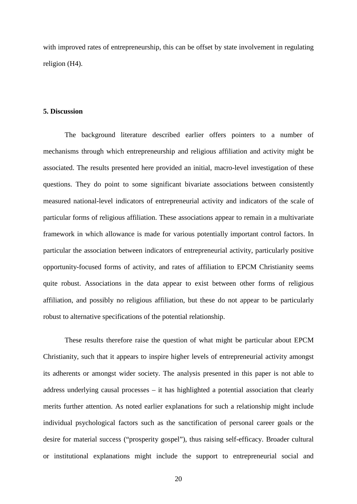with improved rates of entrepreneurship, this can be offset by state involvement in regulating religion (H4).

#### **5. Discussion**

The background literature described earlier offers pointers to a number of mechanisms through which entrepreneurship and religious affiliation and activity might be associated. The results presented here provided an initial, macro-level investigation of these questions. They do point to some significant bivariate associations between consistently measured national-level indicators of entrepreneurial activity and indicators of the scale of particular forms of religious affiliation. These associations appear to remain in a multivariate framework in which allowance is made for various potentially important control factors. In particular the association between indicators of entrepreneurial activity, particularly positive opportunity-focused forms of activity, and rates of affiliation to EPCM Christianity seems quite robust. Associations in the data appear to exist between other forms of religious affiliation, and possibly no religious affiliation, but these do not appear to be particularly robust to alternative specifications of the potential relationship.

These results therefore raise the question of what might be particular about EPCM Christianity, such that it appears to inspire higher levels of entrepreneurial activity amongst its adherents or amongst wider society. The analysis presented in this paper is not able to address underlying causal processes – it has highlighted a potential association that clearly merits further attention. As noted earlier explanations for such a relationship might include individual psychological factors such as the sanctification of personal career goals or the desire for material success ("prosperity gospel"), thus raising self-efficacy. Broader cultural or institutional explanations might include the support to entrepreneurial social and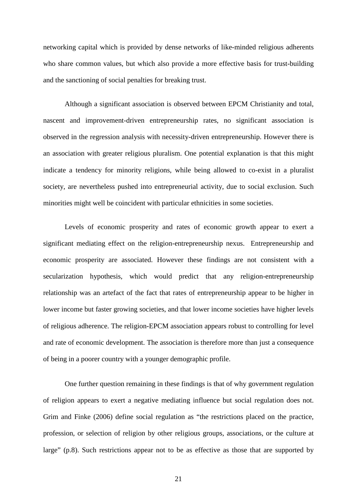networking capital which is provided by dense networks of like-minded religious adherents who share common values, but which also provide a more effective basis for trust-building and the sanctioning of social penalties for breaking trust.

Although a significant association is observed between EPCM Christianity and total, nascent and improvement-driven entrepreneurship rates, no significant association is observed in the regression analysis with necessity-driven entrepreneurship. However there is an association with greater religious pluralism. One potential explanation is that this might indicate a tendency for minority religions, while being allowed to co-exist in a pluralist society, are nevertheless pushed into entrepreneurial activity, due to social exclusion. Such minorities might well be coincident with particular ethnicities in some societies.

Levels of economic prosperity and rates of economic growth appear to exert a significant mediating effect on the religion-entrepreneurship nexus. Entrepreneurship and economic prosperity are associated. However these findings are not consistent with a secularization hypothesis, which would predict that any religion-entrepreneurship relationship was an artefact of the fact that rates of entrepreneurship appear to be higher in lower income but faster growing societies, and that lower income societies have higher levels of religious adherence. The religion-EPCM association appears robust to controlling for level and rate of economic development. The association is therefore more than just a consequence of being in a poorer country with a younger demographic profile.

One further question remaining in these findings is that of why government regulation of religion appears to exert a negative mediating influence but social regulation does not. Grim and Finke (2006) define social regulation as "the restrictions placed on the practice, profession, or selection of religion by other religious groups, associations, or the culture at large" (p.8). Such restrictions appear not to be as effective as those that are supported by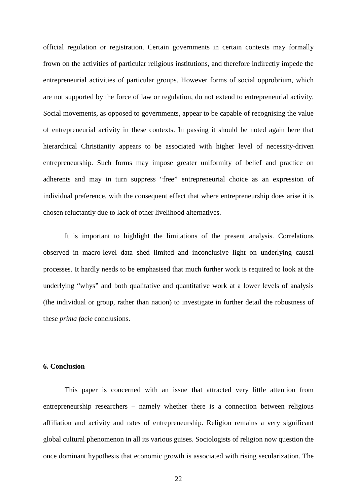official regulation or registration. Certain governments in certain contexts may formally frown on the activities of particular religious institutions, and therefore indirectly impede the entrepreneurial activities of particular groups. However forms of social opprobrium, which are not supported by the force of law or regulation, do not extend to entrepreneurial activity. Social movements, as opposed to governments, appear to be capable of recognising the value of entrepreneurial activity in these contexts. In passing it should be noted again here that hierarchical Christianity appears to be associated with higher level of necessity-driven entrepreneurship. Such forms may impose greater uniformity of belief and practice on adherents and may in turn suppress "free" entrepreneurial choice as an expression of individual preference, with the consequent effect that where entrepreneurship does arise it is chosen reluctantly due to lack of other livelihood alternatives.

It is important to highlight the limitations of the present analysis. Correlations observed in macro-level data shed limited and inconclusive light on underlying causal processes. It hardly needs to be emphasised that much further work is required to look at the underlying "whys" and both qualitative and quantitative work at a lower levels of analysis (the individual or group, rather than nation) to investigate in further detail the robustness of these *prima facie* conclusions.

#### **6. Conclusion**

This paper is concerned with an issue that attracted very little attention from entrepreneurship researchers – namely whether there is a connection between religious affiliation and activity and rates of entrepreneurship. Religion remains a very significant global cultural phenomenon in all its various guises. Sociologists of religion now question the once dominant hypothesis that economic growth is associated with rising secularization. The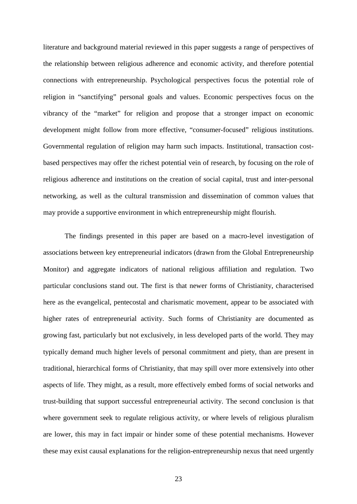literature and background material reviewed in this paper suggests a range of perspectives of the relationship between religious adherence and economic activity, and therefore potential connections with entrepreneurship. Psychological perspectives focus the potential role of religion in "sanctifying" personal goals and values. Economic perspectives focus on the vibrancy of the "market" for religion and propose that a stronger impact on economic development might follow from more effective, "consumer-focused" religious institutions. Governmental regulation of religion may harm such impacts. Institutional, transaction costbased perspectives may offer the richest potential vein of research, by focusing on the role of religious adherence and institutions on the creation of social capital, trust and inter-personal networking, as well as the cultural transmission and dissemination of common values that may provide a supportive environment in which entrepreneurship might flourish.

The findings presented in this paper are based on a macro-level investigation of associations between key entrepreneurial indicators (drawn from the Global Entrepreneurship Monitor) and aggregate indicators of national religious affiliation and regulation. Two particular conclusions stand out. The first is that newer forms of Christianity, characterised here as the evangelical, pentecostal and charismatic movement, appear to be associated with higher rates of entrepreneurial activity. Such forms of Christianity are documented as growing fast, particularly but not exclusively, in less developed parts of the world. They may typically demand much higher levels of personal commitment and piety, than are present in traditional, hierarchical forms of Christianity, that may spill over more extensively into other aspects of life. They might, as a result, more effectively embed forms of social networks and trust-building that support successful entrepreneurial activity. The second conclusion is that where government seek to regulate religious activity, or where levels of religious pluralism are lower, this may in fact impair or hinder some of these potential mechanisms. However these may exist causal explanations for the religion-entrepreneurship nexus that need urgently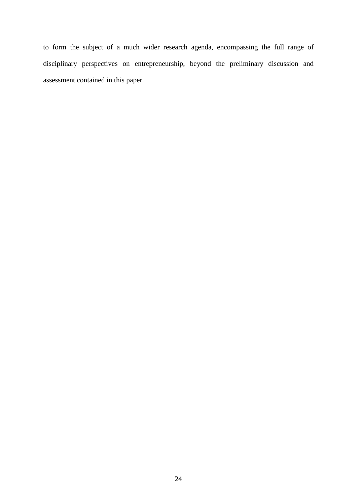to form the subject of a much wider research agenda, encompassing the full range of disciplinary perspectives on entrepreneurship, beyond the preliminary discussion and assessment contained in this paper.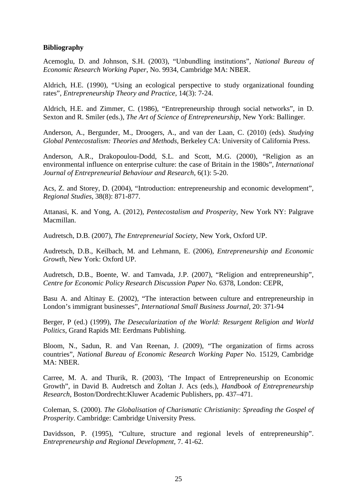#### **Bibliography**

Acemoglu, D. and Johnson, S.H. (2003), "Unbundling institutions", *National Bureau of Economic Research Working Paper*, No. 9934, Cambridge MA: NBER.

Aldrich, H.E. (1990), "Using an ecological perspective to study organizational founding rates", *Entrepreneurship Theory and Practice*, 14(3): 7-24.

Aldrich, H.E. and Zimmer, C. (1986), "Entrepreneurship through social networks", in D. Sexton and R. Smiler (eds.), *The Art of Science of Entrepreneurship*, New York: Ballinger.

Anderson, A., Bergunder, M., Droogers, A., and van der Laan, C. (2010) (eds). *Studying Global Pentecostalism: Theories and Methods*, Berkeley CA: University of California Press.

Anderson, A.R., Drakopoulou-Dodd, S.L. and Scott, M.G. (2000), "Religion as an environmental influence on enterprise culture: the case of Britain in the 1980s", *International Journal of Entrepreneurial Behaviour and Research*, 6(1): 5-20.

Acs, Z. and Storey, D. (2004), "Introduction: entrepreneurship and economic development", *Regional Studies,* 38(8): 871-877.

Attanasi, K. and Yong, A. (2012), *Pentecostalism and Prosperity*, New York NY: Palgrave Macmillan.

Audretsch, D.B. (2007), *The Entrepreneurial Society*, New York, Oxford UP.

Audretsch, D.B., Keilbach, M. and Lehmann, E. (2006), *Entrepreneurship and Economic Growth*, New York: Oxford UP.

Audretsch, D.B., Boente, W. and Tamvada, J.P. (2007), "Religion and entrepreneurship", *Centre for Economic Policy Research Discussion Paper* No. 6378, London: CEPR,

Basu A. and Altinay E. (2002), "The interaction between culture and entrepreneurship in London's immigrant businesses", *International Small Business Journal*, 20: 371-94

Berger, P (ed.) (1999), *The Desecularization of the World: Resurgent Religion and World Politics*, Grand Rapids MI: Eerdmans Publishing.

Bloom, N., Sadun, R. and Van Reenan, J. (2009), "The organization of firms across countries", *National Bureau of Economic Research Working Paper* No. 15129, Cambridge MA: NBER.

Carree, M. A. and Thurik, R. (2003), 'The Impact of Entrepreneurship on Economic Growth", in David B. Audretsch and Zoltan J. Acs (eds.), *Handbook of Entrepreneurship Research*, Boston/Dordrecht:Kluwer Academic Publishers, pp. 437–471.

Coleman, S. (2000). *The Globalisation of Charismatic Christianity: Spreading the Gospel of Prosperity*. Cambridge: Cambridge University Press.

Davidsson, P. (1995), "Culture, structure and regional levels of entrepreneurship". *Entrepreneurship and Regional Development,* 7. 41-62.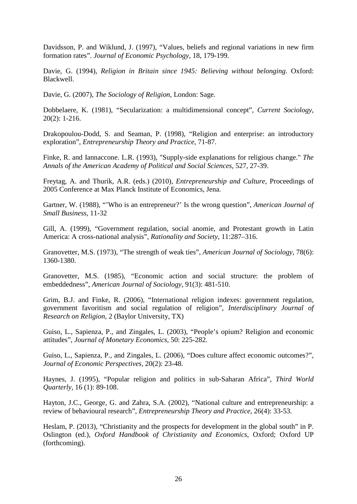Davidsson, P. and Wiklund, J. (1997), "Values, beliefs and regional variations in new firm formation rates". *Journal of Economic Psychology,* 18, 179-199.

Davie, G. (1994), *Religion in Britain since 1945: Believing without belonging*. Oxford: Blackwell.

Davie, G. (2007), *The Sociology of Religion*, London: Sage.

Dobbelaere, K. (1981), "Secularization: a multidimensional concept", *Current Sociology*, 20(2): 1-216.

Drakopoulou-Dodd, S. and Seaman, P. (1998), "Religion and enterprise: an introductory exploration", *Entrepreneurship Theory and Practice*, 71-87.

Finke, R. and Iannaccone. L.R. (1993), "Supply-side explanations for religious change." *The Annals of the American Academy of Political and Social Sciences*, 527, 27-39.

Freytag, A. and Thurik, A.R. (eds.) (2010), *Entrepreneurship and Culture*, Proceedings of 2005 Conference at Max Planck Institute of Economics, Jena.

Gartner, W. (1988), "'Who is an entrepreneur?' Is the wrong question", *American Journal of Small Business*, 11-32

Gill, A. (1999), "Government regulation, social anomie, and Protestant growth in Latin America: A cross-national analysis", *Rationality and Society*, 11:287–316.

Granovetter, M.S. (1973), "The strength of weak ties", *American Journal of Sociology*, 78(6): 1360-1380.

Granovetter, M.S. (1985), "Economic action and social structure: the problem of embeddedness", *American Journal of Sociology*, 91(3): 481-510.

Grim, B.J. and Finke, R. (2006), "International religion indexes: government regulation, government favoritism and social regulation of religion", *Interdisciplinary Journal of Research on Religion*, 2 (Baylor University, TX)

Guiso, L., Sapienza, P., and Zingales, L. (2003), "People's opium? Religion and economic attitudes", *Journal of Monetary Economics*, 50: 225-282.

Guiso, L., Sapienza, P., and Zingales, L. (2006), "Does culture affect economic outcomes?", *Journal of Economic Perspectives*, 20(2): 23-48.

Haynes, J. (1995), "Popular religion and politics in sub-Saharan Africa", *Third World Quarterly*, 16 (1): 89-108.

Hayton, J.C., George, G. and Zahra, S.A. (2002), "National culture and entrepreneurship: a review of behavioural research", *Entrepreneurship Theory and Practice*, 26(4): 33-53.

Heslam, P. (2013), "Christianity and the prospects for development in the global south" in P. Oslington (ed.), *Oxford Handbook of Christianity and Economics*, Oxford; Oxford UP (forthcoming).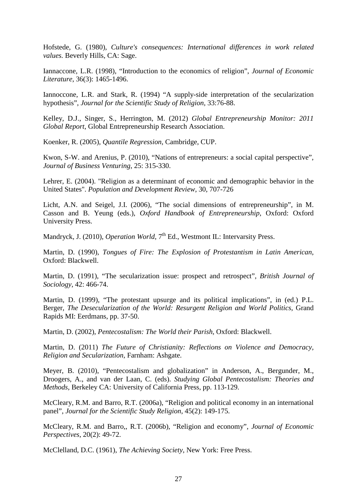Hofstede, G. (1980), *Culture's consequences: International differences in work related values.* Beverly Hills, CA: Sage.

Iannaccone, L.R. (1998), "Introduction to the economics of religion", *Journal of Economic Literature*, 36(3): 1465-1496.

Iannoccone, L.R. and Stark, R. (1994) "A supply-side interpretation of the secularization hypothesis", *Journal for the Scientific Study of Religion*, 33:76-88.

Kelley, D.J., Singer, S., Herrington, M. (2012) *Global Entrepreneurship Monitor: 2011 Global Report*, Global Entrepreneurship Research Association.

Koenker, R. (2005), *Quantile Regression*, Cambridge, CUP.

Kwon, S-W. and Arenius, P. (2010), "Nations of entrepreneurs: a social capital perspective", *Journal of Business Venturing*, 25: 315-330.

Lehrer, E. (2004). "Religion as a determinant of economic and demographic behavior in the United States". *Population and Development Review*, 30, 707-726

Licht, A.N. and Seigel, J.I. (2006), "The social dimensions of entrepreneurship", in M. Casson and B. Yeung (eds.), *Oxford Handbook of Entrepreneurship*, Oxford: Oxford University Press.

Mandryck, J. (2010), *Operation World*, 7<sup>th</sup> Ed., Westmont IL: Intervarsity Press.

Martin, D. (1990), *Tongues of Fire: The Explosion of Protestantism in Latin American*, Oxford: Blackwell.

Martin, D. (1991), "The secularization issue: prospect and retrospect", *British Journal of Sociology*, 42: 466-74.

Martin, D. (1999), "The protestant upsurge and its political implications", in (ed.) P.L. Berger, *The Desecularization of the World: Resurgent Religion and World Politics*, Grand Rapids MI: Eerdmans, pp. 37-50.

Martin, D. (2002), *Pentecostalism: The World their Parish*, Oxford: Blackwell.

Martin, D. (2011) *The Future of Christianity: Reflections on Violence and Democracy, Religion and Secularization,* Farnham: Ashgate.

Meyer, B. (2010), "Pentecostalism and globalization" in Anderson, A., Bergunder, M., Droogers, A., and van der Laan, C. (eds). *Studying Global Pentecostalism: Theories and Methods*, Berkeley CA: University of California Press, pp. 113-129.

McCleary, R.M. and Barro, R.T. (2006a), "Religion and political economy in an international panel", *Journal for the Scientific Study Religion*, 45(2): 149-175.

McCleary, R.M. and Barro,, R.T. (2006b), "Religion and economy", *Journal of Economic Perspectives*, 20(2): 49-72.

McClelland, D.C. (1961), *The Achieving Society*, New York: Free Press.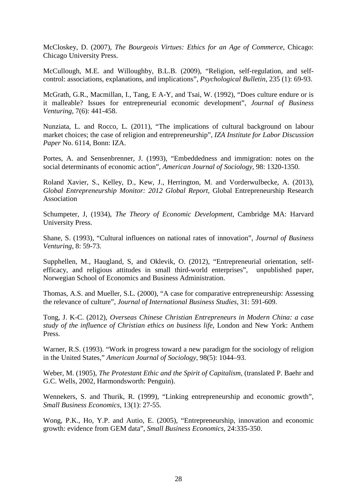McCloskey, D. (2007), *The Bourgeois Virtues: Ethics for an Age of Commerce*, Chicago: Chicago University Press.

McCullough, M.E. and Willoughby, B.L.B. (2009), "Religion, self-regulation, and selfcontrol: associations, explanations, and implications", *Psychological Bulletin*, 235 (1): 69-93.

McGrath, G.R., Macmillan, I., Tang, E A-Y, and Tsai, W. (1992), "Does culture endure or is it malleable? Issues for entrepreneurial economic development", *Journal of Business Venturing*, 7(6): 441-458.

Nunziata, L. and Rocco, L. (2011), "The implications of cultural background on labour market choices; the case of religion and entrepreneurship", *IZA Institute for Labor Discussion Paper* No. 6114, Bonn: IZA.

Portes, A. and Sensenbrenner, J. (1993), "Embeddedness and immigration: notes on the social determinants of economic action", *American Journal of Sociology*, 98: 1320-1350.

Roland Xavier, S., Kelley, D., Kew, J., Herrington, M. and Vorderwulbecke, A. (2013), *Global Entrepreneurship Monitor: 2012 Global Report*, Global Entrepreneurship Research Association

Schumpeter, J, (1934), *The Theory of Economic Development*, Cambridge MA: Harvard University Press.

Shane, S. (1993), "Cultural influences on national rates of innovation", *Journal of Business Venturing*, 8: 59-73.

Supphellen, M., Haugland, S, and Oklevik, O. (2012), "Entrepreneurial orientation, selfefficacy, and religious attitudes in small third-world enterprises", unpublished paper, Norwegian School of Economics and Business Administration.

Thomas, A.S. and Mueller, S.L. (2000), "A case for comparative entrepreneurship: Assessing the relevance of culture", *Journal of International Business Studies*, 31: 591-609.

Tong, J. K-C. (2012), *Overseas Chinese Christian Entrepreneurs in Modern China: a case study of the influence of Christian ethics on business life*, London and New York: Anthem Press.

Warner, R.S. (1993). "Work in progress toward a new paradigm for the sociology of religion in the United States," *American Journal of Sociology*, 98(5): 1044–93.

Weber, M. (1905), *The Protestant Ethic and the Spirit of Capitalism*, (translated P. Baehr and G.C. Wells, 2002, Harmondsworth: Penguin).

Wennekers, S. and Thurik, R. (1999), "Linking entrepreneurship and economic growth", *Small Business Economics*, 13(1): 27-55.

Wong, P.K., Ho, Y.P. and Autio, E. (2005), "Entrepreneurship, innovation and economic growth: evidence from GEM data", *Small Business Economics*, 24:335-350.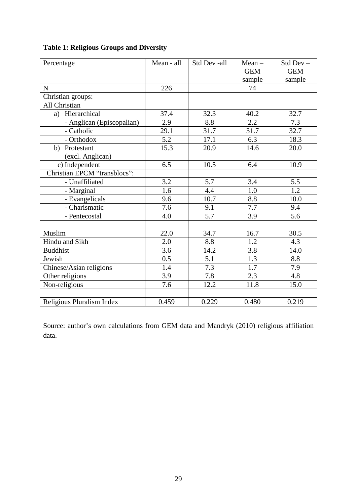| Percentage                   | Mean - all | Std Dev -all | $Mean -$   | Std Dev-   |
|------------------------------|------------|--------------|------------|------------|
|                              |            |              | <b>GEM</b> | <b>GEM</b> |
|                              |            |              | sample     | sample     |
| $\mathbf N$                  | 226        |              | 74         |            |
| Christian groups:            |            |              |            |            |
| All Christian                |            |              |            |            |
| a) Hierarchical              | 37.4       | 32.3         | 40.2       | 32.7       |
| - Anglican (Episcopalian)    | 2.9        | 8.8          | 2.2        | 7.3        |
| - Catholic                   | 29.1       | 31.7         | 31.7       | 32.7       |
| - Orthodox                   | 5.2        | 17.1         | 6.3        | 18.3       |
| Protestant<br>b)             | 15.3       | 20.9         | 14.6       | 20.0       |
| (excl. Anglican)             |            |              |            |            |
| c) Independent               | 6.5        | 10.5         | 6.4        | 10.9       |
| Christian EPCM "transblocs": |            |              |            |            |
| - Unaffiliated               | 3.2        | 5.7          | 3.4        | 5.5        |
| - Marginal                   | 1.6        | 4.4          | 1.0        | 1.2        |
| - Evangelicals               | 9.6        | 10.7         | 8.8        | 10.0       |
| - Charismatic                | 7.6        | 9.1          | 7.7        | 9.4        |
| - Pentecostal                | 4.0        | 5.7          | 3.9        | 5.6        |
|                              |            |              |            |            |
| Muslim                       | 22.0       | 34.7         | 16.7       | 30.5       |
| Hindu and Sikh               | 2.0        | 8.8          | 1.2        | 4.3        |
| <b>Buddhist</b>              | 3.6        | 14.2         | 3.8        | 14.0       |
| Jewish                       | 0.5        | 5.1          | 1.3        | 8.8        |
| Chinese/Asian religions      | 1.4        | 7.3          | 1.7        | 7.9        |
| Other religions              | 3.9        | 7.8          | 2.3        | 4.8        |
| Non-religious                | 7.6        | 12.2         | 11.8       | 15.0       |
|                              |            |              |            |            |
| Religious Pluralism Index    | 0.459      | 0.229        | 0.480      | 0.219      |

## **Table 1: Religious Groups and Diversity**

Source: author's own calculations from GEM data and Mandryk (2010) religious affiliation data.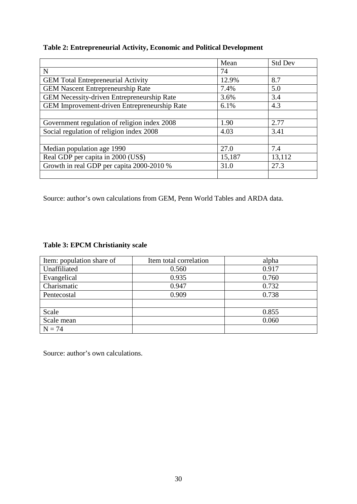#### **Table 2: Entrepreneurial Activity, Economic and Political Development**

|                                              | Mean   | <b>Std Dev</b> |
|----------------------------------------------|--------|----------------|
| N                                            | 74     |                |
| <b>GEM Total Entrepreneurial Activity</b>    | 12.9%  | 8.7            |
| <b>GEM Nascent Entrepreneurship Rate</b>     | 7.4%   | 5.0            |
| GEM Necessity-driven Entrepreneurship Rate   | 3.6%   | 3.4            |
| GEM Improvement-driven Entrepreneurship Rate | 6.1%   | 4.3            |
|                                              |        |                |
| Government regulation of religion index 2008 | 1.90   | 2.77           |
| Social regulation of religion index 2008     | 4.03   | 3.41           |
|                                              |        |                |
| Median population age 1990                   | 27.0   | 7.4            |
| Real GDP per capita in 2000 (US\$)           | 15,187 | 13,112         |
| Growth in real GDP per capita 2000-2010 %    | 31.0   | 27.3           |
|                                              |        |                |

Source: author's own calculations from GEM, Penn World Tables and ARDA data.

#### **Table 3: EPCM Christianity scale**

| Item: population share of | Item total correlation | alpha |
|---------------------------|------------------------|-------|
| Unaffiliated              | 0.560                  | 0.917 |
| Evangelical               | 0.935                  | 0.760 |
| Charismatic               | 0.947                  | 0.732 |
| Pentecostal               | 0.909                  | 0.738 |
|                           |                        |       |
| Scale                     |                        | 0.855 |
| Scale mean                |                        | 0.060 |
| $N = 74$                  |                        |       |

Source: author's own calculations.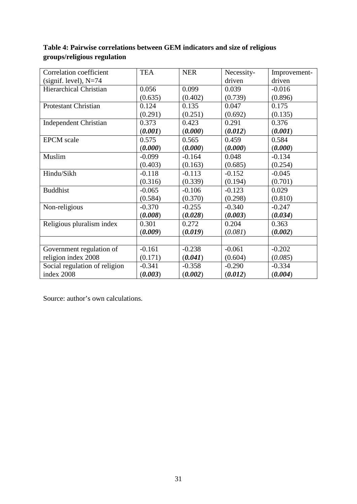| Correlation coefficient       | <b>TEA</b> | <b>NER</b> | Necessity- | Improvement- |
|-------------------------------|------------|------------|------------|--------------|
| (signif. level), $N=74$       |            |            | driven     | driven       |
| <b>Hierarchical Christian</b> | 0.056      | 0.099      | 0.039      | $-0.016$     |
|                               | (0.635)    | (0.402)    | (0.739)    | (0.896)      |
| <b>Protestant Christian</b>   | 0.124      | 0.135      | 0.047      | 0.175        |
|                               | (0.291)    | (0.251)    | (0.692)    | (0.135)      |
| <b>Independent Christian</b>  | 0.373      | 0.423      | 0.291      | 0.376        |
|                               | (0.001)    | (0.000)    | (0.012)    | (0.001)      |
| <b>EPCM</b> scale             | 0.575      | 0.565      | 0.459      | 0.584        |
|                               | (0.000)    | (0.000)    | (0.000)    | (0.000)      |
| Muslim                        | $-0.099$   | $-0.164$   | 0.048      | $-0.134$     |
|                               | (0.403)    | (0.163)    | (0.685)    | (0.254)      |
| Hindu/Sikh                    | $-0.118$   | $-0.113$   | $-0.152$   | $-0.045$     |
|                               | (0.316)    | (0.339)    | (0.194)    | (0.701)      |
| <b>Buddhist</b>               | $-0.065$   | $-0.106$   | $-0.123$   | 0.029        |
|                               | (0.584)    | (0.370)    | (0.298)    | (0.810)      |
| Non-religious                 | $-0.370$   | $-0.255$   | $-0.340$   | $-0.247$     |
|                               | (0.008)    | (0.028)    | (0.003)    | (0.034)      |
| Religious pluralism index     | 0.301      | 0.272      | 0.204      | 0.363        |
|                               | (0.009)    | (0.019)    | (0.081)    | (0.002)      |
|                               |            |            |            |              |
| Government regulation of      | $-0.161$   | $-0.238$   | $-0.061$   | $-0.202$     |
| religion index 2008           | (0.171)    | (0.041)    | (0.604)    | (0.085)      |
| Social regulation of religion | $-0.341$   | $-0.358$   | $-0.290$   | $-0.334$     |
| index 2008                    | (0.003)    | (0.002)    | (0.012)    | (0.004)      |

## **Table 4: Pairwise correlations between GEM indicators and size of religious groups/religious regulation**

Source: author's own calculations.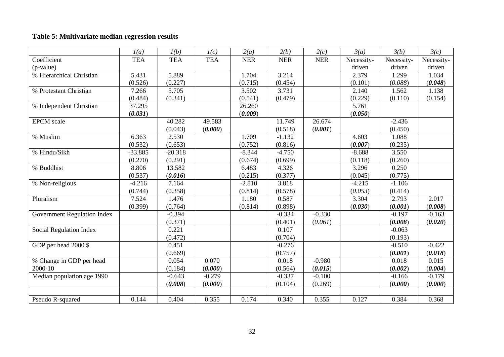## **Table 5: Multivariate median regression results**

|                                    | I(a)       | l(b)       | I(c)       | 2(a)       | 2(b)       | 2(c)       | 3(a)       | 3(b)       | 3(c)       |
|------------------------------------|------------|------------|------------|------------|------------|------------|------------|------------|------------|
| Coefficient                        | <b>TEA</b> | <b>TEA</b> | <b>TEA</b> | <b>NER</b> | <b>NER</b> | <b>NER</b> | Necessity- | Necessity- | Necessity- |
| (p-value)                          |            |            |            |            |            |            | driven     | driven     | driven     |
| % Hierarchical Christian           | 5.431      | 5.889      |            | 1.704      | 3.214      |            | 2.379      | 1.299      | 1.034      |
|                                    | (0.526)    | (0.227)    |            | (0.715)    | (0.454)    |            | (0.101)    | (0.088)    | (0.048)    |
| % Protestant Christian             | 7.266      | 5.705      |            | 3.502      | 3.731      |            | 2.140      | 1.562      | 1.138      |
|                                    | (0.484)    | (0.341)    |            | (0.541)    | (0.479)    |            | (0.229)    | (0.110)    | (0.154)    |
| % Independent Christian            | 37.295     |            |            | 26.260     |            |            | 5.761      |            |            |
|                                    | (0.031)    |            |            | (0.009)    |            |            | (0.050)    |            |            |
| <b>EPCM</b> scale                  |            | 40.282     | 49.583     |            | 11.749     | 26.674     |            | $-2.436$   |            |
|                                    |            | (0.043)    | (0.000)    |            | (0.518)    | (0.001)    |            | (0.450)    |            |
| % Muslim                           | 6.363      | 2.530      |            | 1.709      | $-1.132$   |            | 4.603      | 1.088      |            |
|                                    | (0.532)    | (0.653)    |            | (0.752)    | (0.816)    |            | (0.007)    | (0.235)    |            |
| % Hindu/Sikh                       | $-33.885$  | $-20.318$  |            | $-8.344$   | $-4.750$   |            | $-8.688$   | 3.550      |            |
|                                    | (0.270)    | (0.291)    |            | (0.674)    | (0.699)    |            | (0.118)    | (0.260)    |            |
| % Buddhist                         | 8.806      | 13.582     |            | 6.483      | 4.326      |            | 3.296      | 0.250      |            |
|                                    | (0.537)    | (0.016)    |            | (0.215)    | (0.377)    |            | (0.045)    | (0.775)    |            |
| % Non-religious                    | $-4.216$   | 7.164      |            | $-2.810$   | 3.818      |            | $-4.215$   | $-1.106$   |            |
|                                    | (0.744)    | (0.358)    |            | (0.814)    | (0.578)    |            | (0.053)    | (0.414)    |            |
| Pluralism                          | 7.524      | 1.476      |            | 1.180      | 0.587      |            | 3.304      | 2.793      | 2.017      |
|                                    | (0.399)    | (0.764)    |            | (0.814)    | (0.898)    |            | (0.030)    | (0.001)    | (0.008)    |
| <b>Government Regulation Index</b> |            | $-0.394$   |            |            | $-0.334$   | $-0.330$   |            | $-0.197$   | $-0.163$   |
|                                    |            | (0.371)    |            |            | (0.401)    | (0.061)    |            | (0.008)    | (0.020)    |
| Social Regulation Index            |            | 0.221      |            |            | 0.107      |            |            | $-0.063$   |            |
|                                    |            | (0.472)    |            |            | (0.704)    |            |            | (0.193)    |            |
| GDP per head 2000 \$               |            | 0.451      |            |            | $-0.276$   |            |            | $-0.510$   | $-0.422$   |
|                                    |            | (0.669)    |            |            | (0.757)    |            |            | (0.001)    | (0.018)    |
| % Change in GDP per head           |            | 0.054      | 0.070      |            | 0.018      | $-0.980$   |            | 0.018      | 0.015      |
| 2000-10                            |            | (0.184)    | (0.000)    |            | (0.564)    | (0.015)    |            | (0.002)    | (0.004)    |
| Median population age 1990         |            | $-0.643$   | $-0.279$   |            | $-0.337$   | $-0.100$   |            | $-0.166$   | $-0.179$   |
|                                    |            | (0.008)    | (0.000)    |            | (0.104)    | (0.269)    |            | (0.000)    | (0.000)    |
|                                    |            |            |            |            |            |            |            |            |            |
| Pseudo R-squared                   | 0.144      | 0.404      | 0.355      | 0.174      | 0.340      | 0.355      | 0.127      | 0.384      | 0.368      |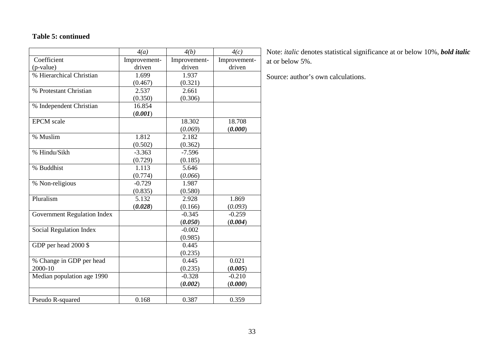#### **Table 5: continued**

|                             | 4(a)         | 4(b)         | 4(c)         |
|-----------------------------|--------------|--------------|--------------|
| Coefficient                 | Improvement- | Improvement- | Improvement- |
| (p-value)                   | driven       | driven       | driven       |
| % Hierarchical Christian    | 1.699        | 1.937        |              |
|                             | (0.467)      | (0.321)      |              |
| % Protestant Christian      | 2.537        | 2.661        |              |
|                             | (0.350)      | (0.306)      |              |
| % Independent Christian     | 16.854       |              |              |
|                             | (0.001)      |              |              |
| <b>EPCM</b> scale           |              | 18.302       | 18.708       |
|                             |              | (0.069)      | (0.000)      |
| % Muslim                    | 1.812        | 2.182        |              |
|                             | (0.502)      | (0.362)      |              |
| % Hindu/Sikh                | $-3.363$     | $-7.596$     |              |
|                             | (0.729)      | (0.185)      |              |
| % Buddhist                  | 1.113        | 5.646        |              |
|                             | (0.774)      | (0.066)      |              |
| % Non-religious             | $-0.729$     | 1.987        |              |
|                             | (0.835)      | (0.580)      |              |
| Pluralism                   | 5.132        | 2.928        | 1.869        |
|                             | (0.028)      | (0.166)      | (0.093)      |
| Government Regulation Index |              | $-0.345$     | $-0.259$     |
|                             |              | (0.050)      | (0.004)      |
| Social Regulation Index     |              | $-0.002$     |              |
|                             |              | (0.985)      |              |
| GDP per head 2000 \$        |              | 0.445        |              |
|                             |              | (0.235)      |              |
| % Change in GDP per head    |              | 0.445        | 0.021        |
| 2000-10                     |              | (0.235)      | (0.005)      |
| Median population age 1990  |              | $-0.328$     | $-0.210$     |
|                             |              | (0.002)      | (0.000)      |
|                             |              |              |              |
| Pseudo R-squared            | 0.168        | 0.387        | 0.359        |

Note: *italic* denotes statistical significance at or below 10%, *bold italic* at or below 5%.

Source: author's own calculations.